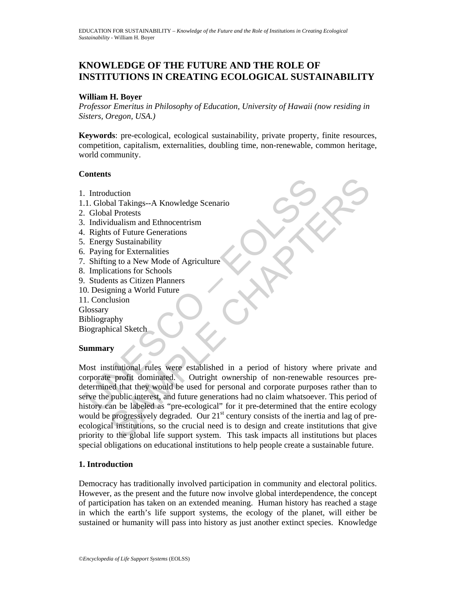# **KNOWLEDGE OF THE FUTURE AND THE ROLE OF INSTITUTIONS IN CREATING ECOLOGICAL SUSTAINABILITY**

### **William H. Boyer**

*Professor Emeritus in Philosophy of Education, University of Hawaii (now residing in Sisters, Oregon, USA.)* 

**Keywords**: pre-ecological, ecological sustainability, private property, finite resources, competition, capitalism, externalities, doubling time, non-renewable, common heritage, world community.

### **Contents**

- 1. Introduction
- 1.1. Global Takings--A Knowledge Scenario
- 2. Global Protests
- 3. Individualism and Ethnocentrism
- 4. Rights of Future Generations
- 5. Energy Sustainability
- 6. Paying for Externalities
- 7. Shifting to a New Mode of Agriculture
- 8. Implications for Schools
- 9. Students as Citizen Planners
- 10. Designing a World Future
- 11. Conclusion

**Glossary** 

Bibliography

Biographical Sketch

# **Summary**

Introduction<br>
1. Global Takings--A Knowledge Scenario<br>
Clobal Trotests<br>
Individualism and Ethnocentrism<br>
Rights of Future Generations<br>
2. Energy Sustainability<br>
2. Paying for Externalities<br>
2. Energy Sustainability<br>
2. Pay Contained Takings-A Knowledge Scenario<br>
Sal Takings-A Knowledge Scenario<br>
Il Protests<br>
dualism and Ethnocentrism<br>
or Schoules Chapter Generations<br>
or Sustainability<br>
g for Externalities<br>
or to New Mode of Agriculture<br>
and Most institutional rules were established in a period of history where private and corporate profit dominated. Outright ownership of non-renewable resources predetermined that they would be used for personal and corporate purposes rather than to serve the public interest, and future generations had no claim whatsoever. This period of history can be labeled as "pre-ecological" for it pre-determined that the entire ecology would be progressively degraded. Our  $21<sup>st</sup>$  century consists of the inertia and lag of preecological institutions, so the crucial need is to design and create institutions that give priority to the global life support system. This task impacts all institutions but places special obligations on educational institutions to help people create a sustainable future.

# **1. Introduction**

Democracy has traditionally involved participation in community and electoral politics. However, as the present and the future now involve global interdependence, the concept of participation has taken on an extended meaning. Human history has reached a stage in which the earth's life support systems, the ecology of the planet, will either be sustained or humanity will pass into history as just another extinct species. Knowledge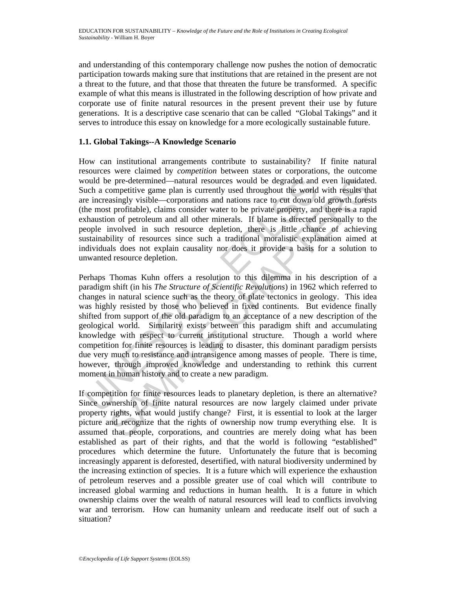and understanding of this contemporary challenge now pushes the notion of democratic participation towards making sure that institutions that are retained in the present are not a threat to the future, and that those that threaten the future be transformed. A specific example of what this means is illustrated in the following description of how private and corporate use of finite natural resources in the present prevent their use by future generations. It is a descriptive case scenario that can be called "Global Takings" and it serves to introduce this essay on knowledge for a more ecologically sustainable future.

# **1.1. Global Takings--A Knowledge Scenario**

How can institutional arrangements contribute to sustainability? If finite natural resources were claimed by *competition* between states or corporations, the outcome would be pre-determined—natural resources would be degraded and even liquidated. Such a competitive game plan is currently used throughout the world with results that are increasingly visible—corporations and nations race to cut down old growth forests (the most profitable), claims consider water to be private property, and there is a rapid exhaustion of petroleum and all other minerals. If blame is directed personally to the people involved in such resource depletion, there is little chance of achieving sustainability of resources since such a traditional moralistic explanation aimed at individuals does not explain causality nor does it provide a basis for a solution to unwanted resource depletion.

ould be pre-determined—natural resources would be degraded and<br>notion a competitive game plan is currently used throughout the world<br>e increasingly visible—corporations and antions are to cut down o<br>he most profitable), cl e pre-determined—natural resources would be degraded and even liquidated one<br>profitive game plan is currently used throughout the world with results that<br>assingly visible—corporations and nations race to eut down old growt Perhaps Thomas Kuhn offers a resolution to this dilemma in his description of a paradigm shift (in his *The Structure of Scientific Revolutions*) in 1962 which referred to changes in natural science such as the theory of plate tectonics in geology. This idea was highly resisted by those who believed in fixed continents. But evidence finally shifted from support of the old paradigm to an acceptance of a new description of the geological world. Similarity exists between this paradigm shift and accumulating knowledge with respect to current institutional structure. Though a world where competition for finite resources is leading to disaster, this dominant paradigm persists due very much to resistance and intransigence among masses of people. There is time, however, through improved knowledge and understanding to rethink this current moment in human history and to create a new paradigm.

If competition for finite resources leads to planetary depletion, is there an alternative? Since ownership of finite natural resources are now largely claimed under private property rights, what would justify change? First, it is essential to look at the larger picture and recognize that the rights of ownership now trump everything else. It is assumed that people, corporations, and countries are merely doing what has been established as part of their rights, and that the world is following "established" procedures which determine the future. Unfortunately the future that is becoming increasingly apparent is deforested, desertified, with natural biodiversity undermined by the increasing extinction of species. It is a future which will experience the exhaustion of petroleum reserves and a possible greater use of coal which will contribute to increased global warming and reductions in human health. It is a future in which ownership claims over the wealth of natural resources will lead to conflicts involving war and terrorism. How can humanity unlearn and reeducate itself out of such a situation?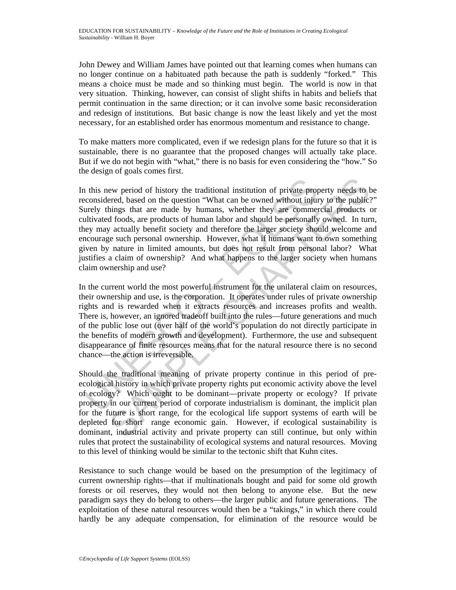John Dewey and William James have pointed out that learning comes when humans can no longer continue on a habituated path because the path is suddenly "forked." This means a choice must be made and so thinking must begin. The world is now in that very situation. Thinking, however, can consist of slight shifts in habits and beliefs that permit continuation in the same direction; or it can involve some basic reconsideration and redesign of institutions. But basic change is now the least likely and yet the most necessary, for an established order has enormous momentum and resistance to change.

To make matters more complicated, even if we redesign plans for the future so that it is sustainable, there is no guarantee that the proposed changes will actually take place. But if we do not begin with "what," there is no basis for even considering the "how." So the design of goals comes first.

It this new period of history the traditional institution of private proconsidered, based on the question "What can be owned without injurely things that are made by humans, whether they are commently things that are made ew period of history the traditional institution of private property needs to be<br>rered, based on the question "What can be owned without injury to the public:<br>hings that are made by humans, whether they are commercial prod In this new period of history the traditional institution of private property needs to be reconsidered, based on the question "What can be owned without injury to the public?" Surely things that are made by humans, whether they are commercial products or cultivated foods, are products of human labor and should be personally owned. In turn, they may actually benefit society and therefore the larger society should welcome and encourage such personal ownership. However, what if humans want to own something given by nature in limited amounts, but does not result from personal labor? What justifies a claim of ownership? And what happens to the larger society when humans claim ownership and use?

In the current world the most powerful instrument for the unilateral claim on resources, their ownership and use, is the corporation. It operates under rules of private ownership rights and is rewarded when it extracts resources and increases profits and wealth. There is, however, an ignored tradeoff built into the rules—future generations and much of the public lose out (over half of the world's population do not directly participate in the benefits of modern growth and development). Furthermore, the use and subsequent disappearance of finite resources means that for the natural resource there is no second chance—the action is irreversible.

Should the traditional meaning of private property continue in this period of preecological history in which private property rights put economic activity above the level of ecology? Which ought to be dominant—private property or ecology? If private property in our current period of corporate industrialism is dominant, the implicit plan for the future is short range, for the ecological life support systems of earth will be depleted for short range economic gain. However, if ecological sustainability is dominant, industrial activity and private property can still continue, but only within rules that protect the sustainability of ecological systems and natural resources. Moving to this level of thinking would be similar to the tectonic shift that Kuhn cites.

Resistance to such change would be based on the presumption of the legitimacy of current ownership rights—that if multinationals bought and paid for some old growth forests or oil reserves, they would not then belong to anyone else. But the new paradigm says they do belong to others—the larger public and future generations. The exploitation of these natural resources would then be a "takings," in which there could hardly be any adequate compensation, for elimination of the resource would be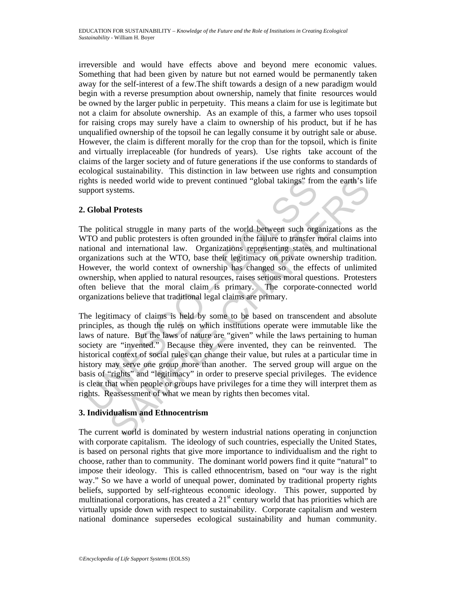irreversible and would have effects above and beyond mere economic values. Something that had been given by nature but not earned would be permanently taken away for the self-interest of a few.The shift towards a design of a new paradigm would begin with a reverse presumption about ownership, namely that finite resources would be owned by the larger public in perpetuity. This means a claim for use is legitimate but not a claim for absolute ownership. As an example of this, a farmer who uses topsoil for raising crops may surely have a claim to ownership of his product, but if he has unqualified ownership of the topsoil he can legally consume it by outright sale or abuse. However, the claim is different morally for the crop than for the topsoil, which is finite and virtually irreplaceable (for hundreds of years). Use rights take account of the claims of the larger society and of future generations if the use conforms to standards of ecological sustainability. This distinction in law between use rights and consumption rights is needed world wide to prevent continued "global takings" from the earth's life support systems.

## **2. Global Protests**

The political struggle in many parts of the world between such organizations as the WTO and public protesters is often grounded in the failure to transfer moral claims into national and international law. Organizations representing states and multinational organizations such at the WTO, base their legitimacy on private ownership tradition. However, the world context of ownership has changed so the effects of unlimited ownership, when applied to natural resources, raises serious moral questions. Protesters often believe that the moral claim is primary. The corporate-connected world organizations believe that traditional legal claims are primary.

ghts is needed world wide to prevent continued "global takings" from<br>proof systems.<br>
Global Protests<br>
he political struggle in many parts of the world between such org<br>
TTO and public protesters is often grounded in the fa needed world wide to prevent continued "global takings" from the earth's lift<br>ystems.<br>
1 Protests<br>
tical struggle in many parts of the world between such organizations as the<br>
the dublic protesters is often grounded in the The legitimacy of claims is held by some to be based on transcendent and absolute principles, as though the rules on which institutions operate were immutable like the laws of nature. But the laws of nature are "given" while the laws pertaining to human society are "invented." Because they were invented, they can be reinvented. The historical context of social rules can change their value, but rules at a particular time in history may serve one group more than another. The served group will argue on the basis of "rights" and "legitimacy" in order to preserve special privileges. The evidence is clear that when people or groups have privileges for a time they will interpret them as rights. Reassessment of what we mean by rights then becomes vital.

### **3. Individualism and Ethnocentrism**

The current world is dominated by western industrial nations operating in conjunction with corporate capitalism. The ideology of such countries, especially the United States, is based on personal rights that give more importance to individualism and the right to choose, rather than to community. The dominant world powers find it quite "natural" to impose their ideology. This is called ethnocentrism, based on "our way is the right way." So we have a world of unequal power, dominated by traditional property rights beliefs, supported by self-righteous economic ideology. This power, supported by multinational corporations, has created a  $21<sup>st</sup>$  century world that has priorities which are virtually upside down with respect to sustainability. Corporate capitalism and western national dominance supersedes ecological sustainability and human community.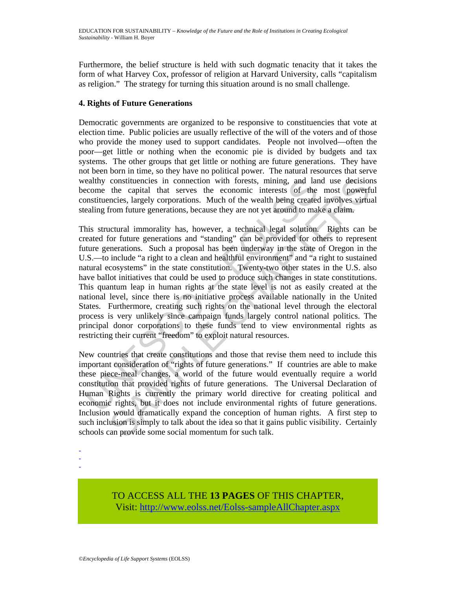Furthermore, the belief structure is held with such dogmatic tenacity that it takes the form of what Harvey Cox, professor of religion at Harvard University, calls "capitalism as religion." The strategy for turning this situation around is no small challenge.

### **4. Rights of Future Generations**

Democratic governments are organized to be responsive to constituencies that vote at election time. Public policies are usually reflective of the will of the voters and of those who provide the money used to support candidates. People not involved—often the poor—get little or nothing when the economic pie is divided by budgets and tax systems. The other groups that get little or nothing are future generations. They have not been born in time, so they have no political power. The natural resources that serve wealthy constituencies in connection with forests, mining, and land use decisions become the capital that serves the economic interests of the most powerful constituencies, largely corporations. Much of the wealth being created involves virtual stealing from future generations, because they are not yet around to make a claim.

ealthy constituencies in connection with forests, mining, and lar<br>ecome the capital that serves the economic interests of the<br>onstituencies, largely corporations. Much of the wealth being cracte<br>caling from future generati constituencies in connection with forests, mining, and land use decision<br>the capital that serves the economic interests of the most powerfi<br>mencis, largely corporations. Much of the wealth being created involves virtua<br>for This structural immorality has, however, a technical legal solution. Rights can be created for future generations and "standing" can be provided for others to represent future generations. Such a proposal has been underway in the state of Oregon in the U.S.—to include "a right to a clean and healthful environment" and "a right to sustained natural ecosystems" in the state constitution. Twenty-two other states in the U.S. also have ballot initiatives that could be used to produce such changes in state constitutions. This quantum leap in human rights at the state level is not as easily created at the national level, since there is no initiative process available nationally in the United States. Furthermore, creating such rights on the national level through the electoral process is very unlikely since campaign funds largely control national politics. The principal donor corporations to these funds tend to view environmental rights as restricting their current "freedom" to exploit natural resources.

New countries that create constitutions and those that revise them need to include this important consideration of "rights of future generations." If countries are able to make these piece-meal changes, a world of the future would eventually require a world constitution that provided rights of future generations. The Universal Declaration of Human Rights is currently the primary world directive for creating political and economic rights, but it does not include environmental rights of future generations. Inclusion would dramatically expand the conception of human rights. A first step to such inclusion is simply to talk about the idea so that it gains public visibility. Certainly schools can provide some social momentum for such talk.

-

TO ACCESS ALL THE **13 PAGES** OF THIS CHAPTER, Visit[: http://www.eolss.net/Eolss-sampleAllChapter.aspx](https://www.eolss.net/ebooklib/sc_cart.aspx?File=E6-61-02-03)

<sup>-</sup>  -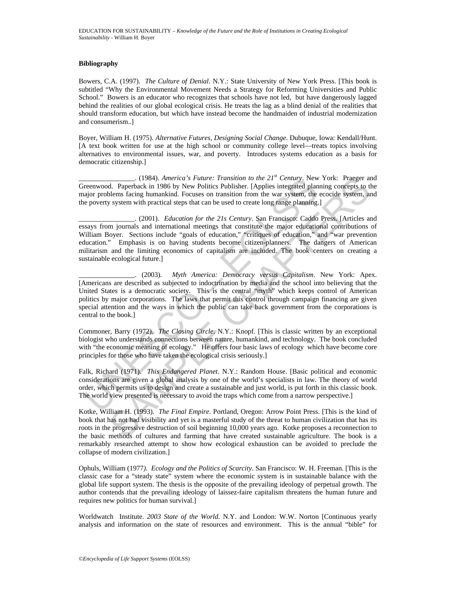#### **Bibliography**

Bowers, C.A. (1997). *The Culture of Denial*. N.Y.: State University of New York Press. [This book is subtitled "Why the Environmental Movement Needs a Strategy for Reforming Universities and Public School." Bowers is an educator who recognizes that schools have not led, but have dangerously lagged behind the realities of our global ecological crisis. He treats the lag as a blind denial of the realities that should transform education, but which have instead become the handmaiden of industrial modernization and consumerism..]

Boyer, William H. (1975). *Alternative Futures, Designing Social Change*. Dubuque, Iowa: Kendall/Hunt. [A text book written for use at the high school or community college level—treats topics involving alternatives to environmental issues, war, and poverty. Introduces systems education as a basis for democratic citizenship.]

\_\_\_\_\_\_\_\_\_\_\_\_\_\_\_\_. (1984). *America's Future: Transition to the 21st Century*. New York: Praeger and Greenwood. Paperback in 1986 by New Politics Publisher. [Applies integrated planning concepts to the major problems facing humankind. Focuses on transition from the war system, the ecocide system, and the poverty system with practical steps that can be used to create long range planning.]

\_\_\_\_\_\_\_\_\_\_\_\_\_\_\_\_. (2001). *Education for the 21s Century*. San Francisco: Caddo Press. [Articles and essays from journals and international meetings that constitute the major educational contributions of William Boyer. Sections include "goals of education," "critiques of education," and "war prevention education." Emphasis is on having students become citizen-planners. The dangers of American militarism and the limiting economics of capitalism are included. The book centers on creating a sustainable ecological future.]

consideration of the 2*P* Century. New Consideration to the 2*P* Century. New problems from the tower that the energy of the energy of the energy system with practical steps that can be used to create long range planning. 3. (1984). America's Future: Transition to the 2P' Century. New York: Pragger are<br>at, Paperback in 1986 by New Polities Publisher. LApplies integrated planning concepts to the methods in the avery system, with practical s \_\_\_\_\_\_\_\_\_\_\_\_\_\_\_\_. (2003). *Myth America: Democracy versus Capitalism*. New York: Apex. [Americans are described as subjected to indoctrination by media and the school into believing that the United States is a democratic society. This is the central "myth" which keeps control of American politics by major corporations. The laws that permit this control through campaign financing are given special attention and the ways in which the public can take back government from the corporations is central to the book.]

Commoner, Barry (1972). *The Closing Circle*. N.Y.: Knopf. [This is classic written by an exceptional biologist who understands connections between nature, humankind, and technology. The book concluded with "the economic meaning of ecology." He offers four basic laws of ecology which have become core principles for those who have taken the ecological crisis seriously.]

Falk, Richard (1971). *This Endangered Planet*. N.Y.: Random House. [Basic political and economic considerations are given a global analysis by one of the world's specialists in law. The theory of world order, which permits us to design and create a sustainable and just world, is put forth in this classic book. The world view presented is necessary to avoid the traps which come from a narrow perspective.]

Kotke, William H. (1993). *The Final Empire*. Portland, Oregon: Arrow Point Press. [This is the kind of book that has not had visibility and yet is a masterful study of the threat to human civilization that has its roots in the progressive destruction of soil beginning 10,000 years ago. Kotke proposes a reconnection to the basic methods of cultures and farming that have created sustainable agriculture. The book is a remarkably researched attempt to show how ecological exhaustion can be avoided to preclude the collapse of modern civilization.]

Ophuls, William (1977*). Ecology and the Politics of Scarcity*. San Francisco: W. H. Freeman. [This is the classic case for a "steady state" system where the economic system is in sustainable balance with the global life support system. The thesis is the opposite of the prevailing ideology of perpetual growth. The author contends that the prevailing ideology of laissez-faire capitalism threatens the human future and requires new politics for human survival.]

Worldwatch Institute. *2003 State of the World*. N.Y. and London: W.W. Norton [Continuous yearly analysis and information on the state of resources and environment. This is the annual "bible" for